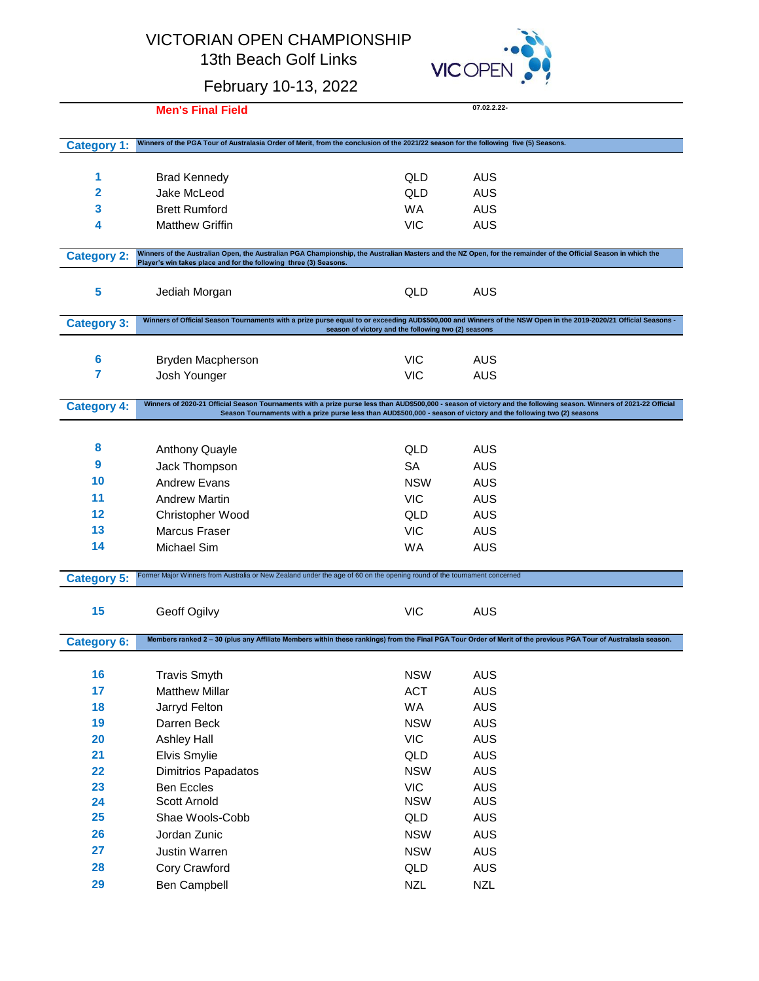## VICTORIAN OPEN CHAMPIONSHIP

13th Beach Golf Links



|                    | February 10-13, 2022                                                                                                                                                                                                                |                                                                                                                    | $\sim$ $-1$ , $\sim$ |  |
|--------------------|-------------------------------------------------------------------------------------------------------------------------------------------------------------------------------------------------------------------------------------|--------------------------------------------------------------------------------------------------------------------|----------------------|--|
|                    | <b>Men's Final Field</b>                                                                                                                                                                                                            |                                                                                                                    | 07.02.2.22-          |  |
|                    |                                                                                                                                                                                                                                     |                                                                                                                    |                      |  |
| <b>Category 1:</b> | Winners of the PGA Tour of Australasia Order of Merit, from the conclusion of the 2021/22 season for the following five (5) Seasons.                                                                                                |                                                                                                                    |                      |  |
|                    |                                                                                                                                                                                                                                     |                                                                                                                    |                      |  |
| 1                  | <b>Brad Kennedy</b>                                                                                                                                                                                                                 | QLD                                                                                                                | <b>AUS</b>           |  |
| 2                  | Jake McLeod                                                                                                                                                                                                                         | QLD                                                                                                                | <b>AUS</b>           |  |
| 3                  | <b>Brett Rumford</b>                                                                                                                                                                                                                | <b>WA</b>                                                                                                          | <b>AUS</b>           |  |
| 4                  | <b>Matthew Griffin</b>                                                                                                                                                                                                              | <b>VIC</b>                                                                                                         | <b>AUS</b>           |  |
| <b>Category 2:</b> | Winners of the Australian Open, the Australian PGA Championship, the Australian Masters and the NZ Open, for the remainder of the Official Season in which the<br>Player's win takes place and for the following three (3) Seasons. |                                                                                                                    |                      |  |
|                    |                                                                                                                                                                                                                                     |                                                                                                                    |                      |  |
| 5                  | Jediah Morgan                                                                                                                                                                                                                       | QLD                                                                                                                | AUS                  |  |
| <b>Category 3:</b> | Winners of Official Season Tournaments with a prize purse equal to or exceeding AUD\$500,000 and Winners of the NSW Open in the 2019-2020/21 Official Seasons -                                                                     |                                                                                                                    |                      |  |
|                    |                                                                                                                                                                                                                                     | season of victory and the following two (2) seasons                                                                |                      |  |
| 6                  | <b>Bryden Macpherson</b>                                                                                                                                                                                                            | <b>VIC</b>                                                                                                         | <b>AUS</b>           |  |
| 7                  | Josh Younger                                                                                                                                                                                                                        | <b>VIC</b>                                                                                                         | <b>AUS</b>           |  |
|                    |                                                                                                                                                                                                                                     |                                                                                                                    |                      |  |
| <b>Category 4:</b> | Winners of 2020-21 Official Season Tournaments with a prize purse less than AUD\$500,000 - season of victory and the following season. Winners of 2021-22 Official                                                                  | Season Tournaments with a prize purse less than AUD\$500,000 - season of victory and the following two (2) seasons |                      |  |
|                    |                                                                                                                                                                                                                                     |                                                                                                                    |                      |  |
| 8                  | <b>Anthony Quayle</b>                                                                                                                                                                                                               | QLD                                                                                                                | AUS                  |  |
| 9                  | Jack Thompson                                                                                                                                                                                                                       | <b>SA</b>                                                                                                          | <b>AUS</b>           |  |
| 10                 | <b>Andrew Evans</b>                                                                                                                                                                                                                 | <b>NSW</b>                                                                                                         | <b>AUS</b>           |  |
| 11                 | <b>Andrew Martin</b>                                                                                                                                                                                                                | <b>VIC</b>                                                                                                         | <b>AUS</b>           |  |
| 12                 | Christopher Wood                                                                                                                                                                                                                    | QLD                                                                                                                | <b>AUS</b>           |  |
| 13                 | Marcus Fraser                                                                                                                                                                                                                       | <b>VIC</b>                                                                                                         | AUS                  |  |
| 14                 | <b>Michael Sim</b>                                                                                                                                                                                                                  | <b>WA</b>                                                                                                          | AUS                  |  |
|                    |                                                                                                                                                                                                                                     |                                                                                                                    |                      |  |
| <b>Category 5:</b> | Former Major Winners from Australia or New Zealand under the age of 60 on the opening round of the tournament concerned                                                                                                             |                                                                                                                    |                      |  |
|                    |                                                                                                                                                                                                                                     |                                                                                                                    |                      |  |
| 15                 | Geoff Ogilvy                                                                                                                                                                                                                        | <b>VIC</b>                                                                                                         | AUS                  |  |
| <b>Category 6:</b> | Members ranked 2 - 30 (plus any Affiliate Members within these rankings) from the Final PGA Tour Order of Merit of the previous PGA Tour of Australasia season.                                                                     |                                                                                                                    |                      |  |
|                    |                                                                                                                                                                                                                                     |                                                                                                                    |                      |  |
| 16                 | <b>Travis Smyth</b>                                                                                                                                                                                                                 | <b>NSW</b>                                                                                                         | <b>AUS</b>           |  |
| 17                 | <b>Matthew Millar</b>                                                                                                                                                                                                               | <b>ACT</b>                                                                                                         | <b>AUS</b>           |  |
| 18                 | Jarryd Felton                                                                                                                                                                                                                       | WA                                                                                                                 | <b>AUS</b>           |  |
| 19                 | Darren Beck                                                                                                                                                                                                                         | <b>NSW</b>                                                                                                         | <b>AUS</b>           |  |
| 20                 | <b>Ashley Hall</b>                                                                                                                                                                                                                  | <b>VIC</b>                                                                                                         | <b>AUS</b>           |  |
| 21                 | Elvis Smylie                                                                                                                                                                                                                        | QLD                                                                                                                | <b>AUS</b>           |  |
| 22                 | Dimitrios Papadatos                                                                                                                                                                                                                 | <b>NSW</b>                                                                                                         | <b>AUS</b>           |  |
| 23                 | <b>Ben Eccles</b>                                                                                                                                                                                                                   | <b>VIC</b>                                                                                                         | <b>AUS</b>           |  |
| 24                 | Scott Arnold                                                                                                                                                                                                                        | <b>NSW</b>                                                                                                         | <b>AUS</b>           |  |
| 25                 | Shae Wools-Cobb                                                                                                                                                                                                                     | QLD                                                                                                                | <b>AUS</b>           |  |
| 26                 | Jordan Zunic                                                                                                                                                                                                                        | <b>NSW</b>                                                                                                         | <b>AUS</b>           |  |
| 27                 | Justin Warren                                                                                                                                                                                                                       | <b>NSW</b>                                                                                                         | <b>AUS</b>           |  |
| 28                 | Cory Crawford                                                                                                                                                                                                                       | QLD                                                                                                                | <b>AUS</b>           |  |
| 29                 | Ben Campbell                                                                                                                                                                                                                        | <b>NZL</b>                                                                                                         | <b>NZL</b>           |  |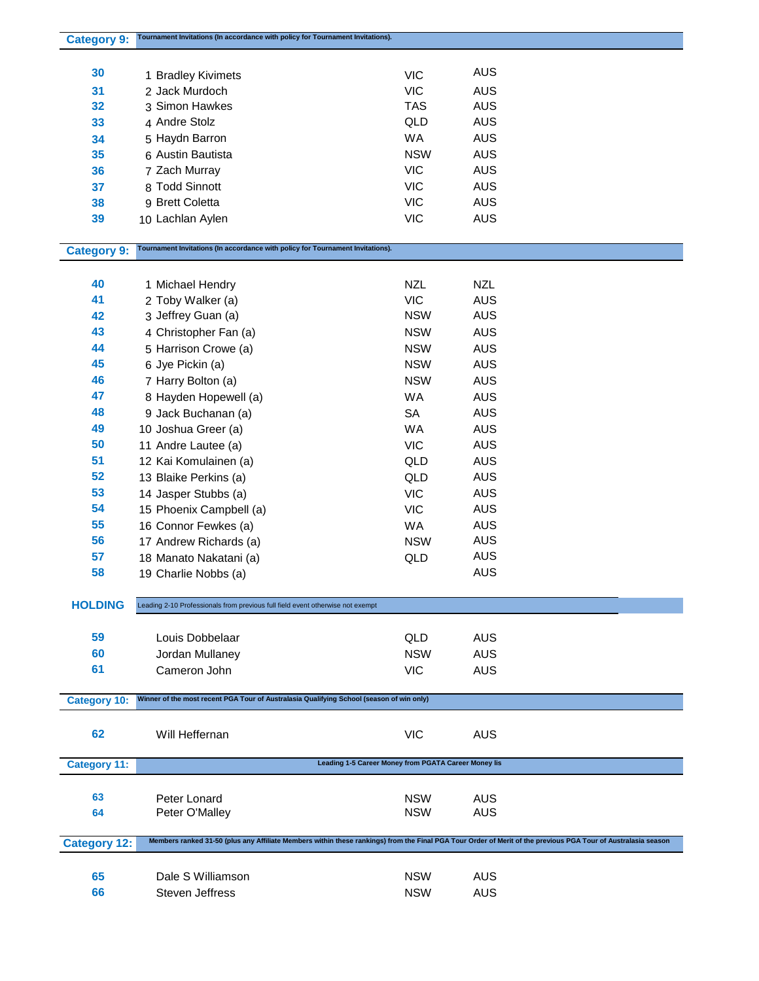| <b>Category 9:</b>  | Tournament Invitations (In accordance with policy for Tournament Invitations).                                                                                |            |            |
|---------------------|---------------------------------------------------------------------------------------------------------------------------------------------------------------|------------|------------|
|                     |                                                                                                                                                               |            |            |
| 30                  | 1 Bradley Kivimets                                                                                                                                            | <b>VIC</b> | <b>AUS</b> |
| 31                  | 2 Jack Murdoch                                                                                                                                                | <b>VIC</b> | <b>AUS</b> |
|                     | 3 Simon Hawkes                                                                                                                                                |            |            |
| 32                  |                                                                                                                                                               | <b>TAS</b> | <b>AUS</b> |
| 33                  | 4 Andre Stolz                                                                                                                                                 | QLD        | <b>AUS</b> |
| 34                  | 5 Haydn Barron                                                                                                                                                | WA         | <b>AUS</b> |
| 35                  | 6 Austin Bautista                                                                                                                                             | <b>NSW</b> | <b>AUS</b> |
| 36                  | 7 Zach Murray                                                                                                                                                 | <b>VIC</b> | <b>AUS</b> |
| 37                  | 8 Todd Sinnott                                                                                                                                                | <b>VIC</b> | <b>AUS</b> |
| 38                  | 9 Brett Coletta                                                                                                                                               | <b>VIC</b> | <b>AUS</b> |
| 39                  | 10 Lachlan Aylen                                                                                                                                              | <b>VIC</b> | <b>AUS</b> |
|                     |                                                                                                                                                               |            |            |
|                     | Tournament Invitations (In accordance with policy for Tournament Invitations).                                                                                |            |            |
| <b>Category 9:</b>  |                                                                                                                                                               |            |            |
|                     |                                                                                                                                                               |            |            |
| 40                  | 1 Michael Hendry                                                                                                                                              | <b>NZL</b> | <b>NZL</b> |
| 41                  | 2 Toby Walker (a)                                                                                                                                             | <b>VIC</b> | <b>AUS</b> |
| 42                  | 3 Jeffrey Guan (a)                                                                                                                                            | <b>NSW</b> | <b>AUS</b> |
| 43                  | 4 Christopher Fan (a)                                                                                                                                         | <b>NSW</b> | <b>AUS</b> |
| 44                  | 5 Harrison Crowe (a)                                                                                                                                          | <b>NSW</b> | <b>AUS</b> |
| 45                  | 6 Jye Pickin (a)                                                                                                                                              | <b>NSW</b> | <b>AUS</b> |
| 46                  | 7 Harry Bolton (a)                                                                                                                                            | <b>NSW</b> | <b>AUS</b> |
| 47                  | 8 Hayden Hopewell (a)                                                                                                                                         | WA         | <b>AUS</b> |
|                     |                                                                                                                                                               |            |            |
| 48                  | 9 Jack Buchanan (a)                                                                                                                                           | <b>SA</b>  | <b>AUS</b> |
| 49                  | 10 Joshua Greer (a)                                                                                                                                           | WA         | <b>AUS</b> |
| 50                  | 11 Andre Lautee (a)                                                                                                                                           | <b>VIC</b> | <b>AUS</b> |
| 51                  | 12 Kai Komulainen (a)                                                                                                                                         | QLD        | <b>AUS</b> |
| 52                  | 13 Blaike Perkins (a)                                                                                                                                         | QLD        | <b>AUS</b> |
| 53                  | 14 Jasper Stubbs (a)                                                                                                                                          | <b>VIC</b> | <b>AUS</b> |
| 54                  | 15 Phoenix Campbell (a)                                                                                                                                       | <b>VIC</b> | <b>AUS</b> |
| 55                  | 16 Connor Fewkes (a)                                                                                                                                          | WA         | <b>AUS</b> |
| 56                  | 17 Andrew Richards (a)                                                                                                                                        | <b>NSW</b> | <b>AUS</b> |
| 57                  |                                                                                                                                                               |            | <b>AUS</b> |
|                     | 18 Manato Nakatani (a)                                                                                                                                        | QLD        |            |
| 58                  | 19 Charlie Nobbs (a)                                                                                                                                          |            | <b>AUS</b> |
|                     |                                                                                                                                                               |            |            |
| <b>HOLDING</b>      | Leading 2-10 Professionals from previous full field event otherwise not exempt                                                                                |            |            |
|                     |                                                                                                                                                               |            |            |
| 59                  | Louis Dobbelaar                                                                                                                                               | QLD        | <b>AUS</b> |
| 60                  | Jordan Mullaney                                                                                                                                               | <b>NSW</b> | <b>AUS</b> |
| 61                  | Cameron John                                                                                                                                                  | <b>VIC</b> | <b>AUS</b> |
|                     |                                                                                                                                                               |            |            |
| <b>Category 10:</b> | Winner of the most recent PGA Tour of Australasia Qualifying School (season of win only)                                                                      |            |            |
|                     |                                                                                                                                                               |            |            |
|                     |                                                                                                                                                               |            |            |
| 62                  | Will Heffernan                                                                                                                                                | <b>VIC</b> | <b>AUS</b> |
|                     |                                                                                                                                                               |            |            |
| <b>Category 11:</b> | Leading 1-5 Career Money from PGATA Career Money lis                                                                                                          |            |            |
|                     |                                                                                                                                                               |            |            |
| 63                  | Peter Lonard                                                                                                                                                  | <b>NSW</b> | <b>AUS</b> |
| 64                  | Peter O'Malley                                                                                                                                                | <b>NSW</b> | <b>AUS</b> |
|                     |                                                                                                                                                               |            |            |
| <b>Category 12:</b> | Members ranked 31-50 (plus any Affiliate Members within these rankings) from the Final PGA Tour Order of Merit of the previous PGA Tour of Australasia season |            |            |
|                     |                                                                                                                                                               |            |            |
| 65                  | Dale S Williamson                                                                                                                                             | <b>NSW</b> | <b>AUS</b> |
| 66                  | Steven Jeffress                                                                                                                                               | <b>NSW</b> | <b>AUS</b> |
|                     |                                                                                                                                                               |            |            |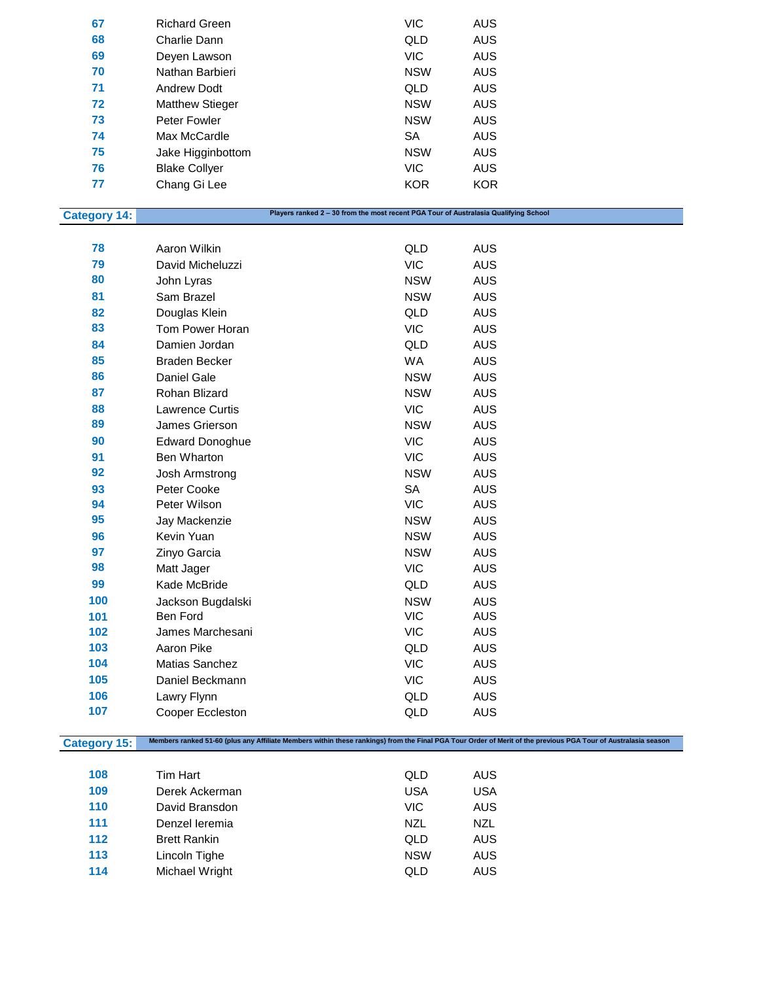| 67 | <b>Richard Green</b>   | <b>VIC</b> | AUS        |
|----|------------------------|------------|------------|
| 68 | Charlie Dann           | QLD        | <b>AUS</b> |
| 69 | Deyen Lawson           | VIC.       | <b>AUS</b> |
| 70 | Nathan Barbieri        | <b>NSW</b> | AUS        |
| 71 | <b>Andrew Dodt</b>     | QLD        | <b>AUS</b> |
| 72 | <b>Matthew Stieger</b> | <b>NSW</b> | <b>AUS</b> |
| 73 | Peter Fowler           | <b>NSW</b> | <b>AUS</b> |
| 74 | Max McCardle           | SA         | AUS        |
| 75 | Jake Higginbottom      | <b>NSW</b> | <b>AUS</b> |
| 76 | <b>Blake Collyer</b>   | <b>VIC</b> | <b>AUS</b> |
| 77 | Chang Gi Lee           | <b>KOR</b> | <b>KOR</b> |

## **Category 14:**

**Players ranked 2 – 30 from the most recent PGA Tour of Australasia Qualifying School**

| 78  | Aaron Wilkin           | QLD        | <b>AUS</b> |
|-----|------------------------|------------|------------|
| 79  | David Micheluzzi       | <b>VIC</b> | AUS        |
| 80  | John Lyras             | <b>NSW</b> | AUS        |
| 81  | Sam Brazel             | <b>NSW</b> | AUS        |
| 82  | Douglas Klein          | QLD        | <b>AUS</b> |
| 83  | Tom Power Horan        | <b>VIC</b> | <b>AUS</b> |
| 84  | Damien Jordan          | QLD        | <b>AUS</b> |
| 85  | <b>Braden Becker</b>   | <b>WA</b>  | <b>AUS</b> |
| 86  | Daniel Gale            | <b>NSW</b> | <b>AUS</b> |
| 87  | Rohan Blizard          | <b>NSW</b> | AUS        |
| 88  | <b>Lawrence Curtis</b> | <b>VIC</b> | <b>AUS</b> |
| 89  | James Grierson         | <b>NSW</b> | <b>AUS</b> |
| 90  | <b>Edward Donoghue</b> | <b>VIC</b> | <b>AUS</b> |
| 91  | Ben Wharton            | <b>VIC</b> | AUS        |
| 92  | Josh Armstrong         | <b>NSW</b> | <b>AUS</b> |
| 93  | Peter Cooke            | <b>SA</b>  | <b>AUS</b> |
| 94  | Peter Wilson           | <b>VIC</b> | <b>AUS</b> |
| 95  | Jay Mackenzie          | <b>NSW</b> | AUS        |
| 96  | Kevin Yuan             | <b>NSW</b> | AUS        |
| 97  | Zinyo Garcia           | <b>NSW</b> | <b>AUS</b> |
| 98  | Matt Jager             | <b>VIC</b> | AUS        |
| 99  | Kade McBride           | QLD        | <b>AUS</b> |
| 100 | Jackson Bugdalski      | <b>NSW</b> | <b>AUS</b> |
| 101 | Ben Ford               | <b>VIC</b> | <b>AUS</b> |
| 102 | James Marchesani       | <b>VIC</b> | <b>AUS</b> |
| 103 | Aaron Pike             | QLD        | <b>AUS</b> |
| 104 | Matias Sanchez         | <b>VIC</b> | <b>AUS</b> |
| 105 | Daniel Beckmann        | <b>VIC</b> | AUS        |
| 106 | Lawry Flynn            | QLD        | AUS        |
| 107 | Cooper Eccleston       | QLD        | <b>AUS</b> |
|     |                        |            |            |

**Category 15: Members ranked 51-60 (plus any Affiliate Members within these rankings) from the Final PGA Tour Order of Merit of the previous PGA Tour of Australasia season**

| 108 | Tim Hart            | QLD        | AUS        |
|-----|---------------------|------------|------------|
| 109 | Derek Ackerman      | <b>USA</b> | <b>USA</b> |
| 110 | David Bransdon      | VIC.       | AUS        |
| 111 | Denzel leremia      | NZL        | <b>NZL</b> |
| 112 | <b>Brett Rankin</b> | QLD        | AUS        |
| 113 | Lincoln Tighe       | <b>NSW</b> | AUS        |
| 114 | Michael Wright      | QLD        | AUS        |